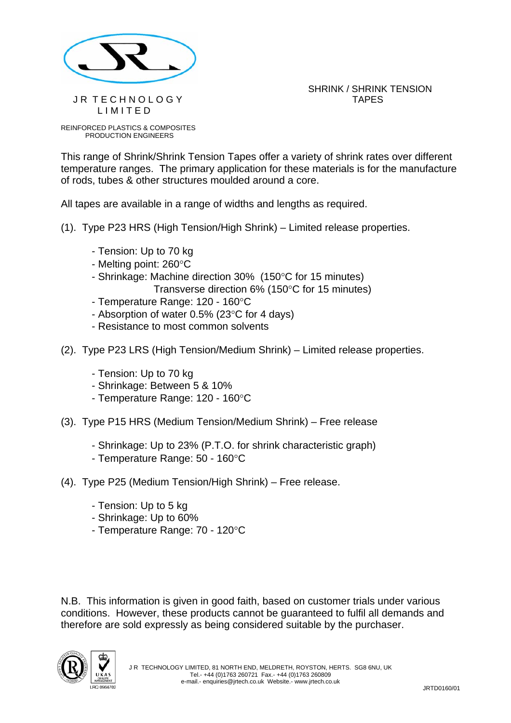

SHRINK / SHRINK TENSION J R T E C H N O L O G Y TAPES

REINFORCED PLASTICS & COMPOSITES PRODUCTION ENGINEERS

L I M I T E D

This range of Shrink/Shrink Tension Tapes offer a variety of shrink rates over different temperature ranges. The primary application for these materials is for the manufacture of rods, tubes & other structures moulded around a core.

All tapes are available in a range of widths and lengths as required.

- (1). Type P23 HRS (High Tension/High Shrink) Limited release properties.
	- Tension: Up to 70 kg
	- Melting point: 260°C
	- Shrinkage: Machine direction 30% (150°C for 15 minutes)

Transverse direction 6% (150°C for 15 minutes)

- Temperature Range: 120 160°C
- Absorption of water 0.5% (23°C for 4 days)
- Resistance to most common solvents
- (2). Type P23 LRS (High Tension/Medium Shrink) Limited release properties.
	- Tension: Up to 70 kg
	- Shrinkage: Between 5 & 10%
	- Temperature Range: 120 160°C
- (3). Type P15 HRS (Medium Tension/Medium Shrink) Free release
	- Shrinkage: Up to 23% (P.T.O. for shrink characteristic graph)
	- Temperature Range: 50 160°C
- (4). Type P25 (Medium Tension/High Shrink) Free release.
	- Tension: Up to 5 kg
	- Shrinkage: Up to 60%
	- Temperature Range: 70 120°C

N.B. This information is given in good faith, based on customer trials under various conditions. However, these products cannot be guaranteed to fulfil all demands and therefore are sold expressly as being considered suitable by the purchaser.